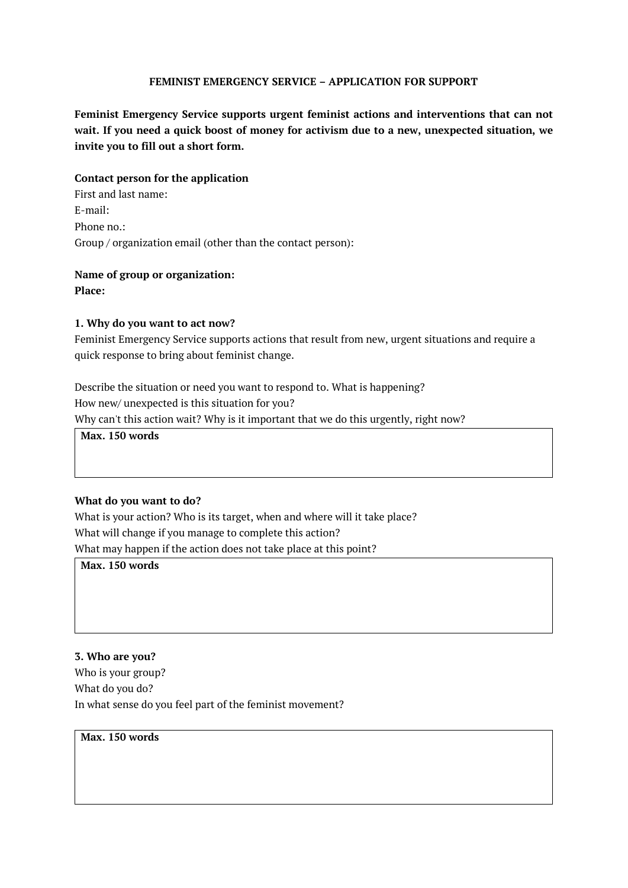### FEMINIST EMERGENCY SERVICE – APPLICATION FOR SUPPORT

Feminist Emergency Service supports urgent feminist actions and interventions that can not wait. If you need a quick boost of money for activism due to a new, unexpected situation, we invite you to fill out a short form.

#### Contact person for the application

First and last name: E-mail: Phone no.: Group / organization email (other than the contact person):

# Name of group or organization:

Place:

### 1. Why do you want to act now?

Feminist Emergency Service supports actions that result from new, urgent situations and require a quick response to bring about feminist change.

Describe the situation or need you want to respond to. What is happening? How new/ unexpected is this situation for you? Why can't this action wait? Why is it important that we do this urgently, right now?

Max. 150 words

#### What do you want to do?

What is your action? Who is its target, when and where will it take place? What will change if you manage to complete this action? What may happen if the action does not take place at this point?

Max. 150 words

3. Who are you? Who is your group? What do you do? In what sense do you feel part of the feminist movement?

Max. 150 words